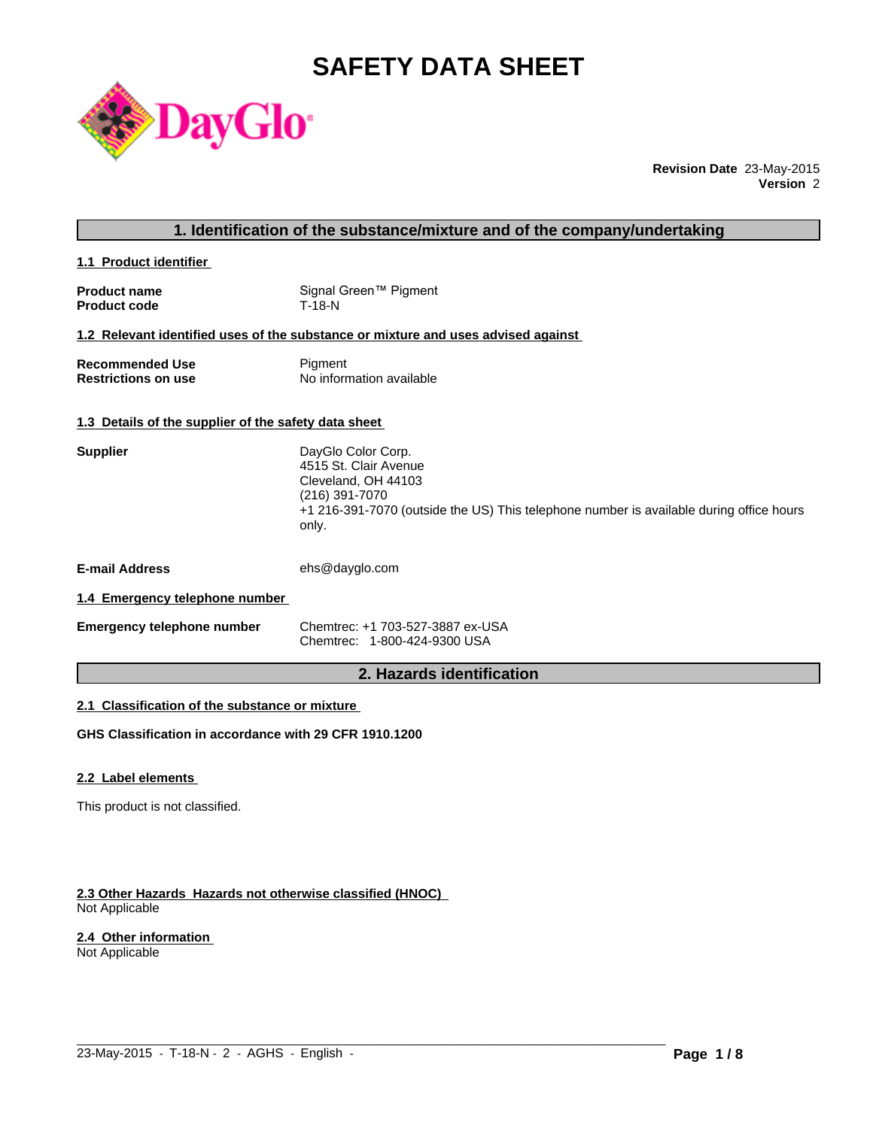# **SAFETY DATA SHEET**



**Revision Date** 23-May-2015 **Version** 2

# **1. Identification of the substance/mixture and of the company/undertaking**

**1.1 Product identifier** 

| <b>Product name</b> | Signal Green™ Pigment |
|---------------------|-----------------------|
| <b>Product code</b> | T-18-N                |

#### **1.2 Relevant identified uses of the substance or mixture and uses advised against**

| <b>Recommended Use</b>     | Pigment                  |
|----------------------------|--------------------------|
| <b>Restrictions on use</b> | No information available |

# **1.3 Details of the supplier of the safety data sheet**

| <b>Supplier</b>                | DayGlo Color Corp.<br>4515 St. Clair Avenue<br>Cleveland, OH 44103<br>(216) 391-7070<br>+1 216-391-7070 (outside the US) This telephone number is available during office hours<br>only. |
|--------------------------------|------------------------------------------------------------------------------------------------------------------------------------------------------------------------------------------|
| <b>E-mail Address</b>          | ehs@dayglo.com                                                                                                                                                                           |
| 1.4 Emergency telephone number |                                                                                                                                                                                          |

| <b>Emergency telephone number</b> | Chemtrec: +1 703-527-3887 ex-USA |
|-----------------------------------|----------------------------------|
|                                   | Chemtrec: 1-800-424-9300 USA     |

# **2. Hazards identification**

 $\_$  ,  $\_$  ,  $\_$  ,  $\_$  ,  $\_$  ,  $\_$  ,  $\_$  ,  $\_$  ,  $\_$  ,  $\_$  ,  $\_$  ,  $\_$  ,  $\_$  ,  $\_$  ,  $\_$  ,  $\_$  ,  $\_$  ,  $\_$  ,  $\_$  ,  $\_$  ,  $\_$  ,  $\_$  ,  $\_$  ,  $\_$  ,  $\_$  ,  $\_$  ,  $\_$  ,  $\_$  ,  $\_$  ,  $\_$  ,  $\_$  ,  $\_$  ,  $\_$  ,  $\_$  ,  $\_$  ,  $\_$  ,  $\_$  ,

# **2.1 Classification of the substance or mixture**

**GHS Classification in accordance with 29 CFR 1910.1200**

#### **2.2 Label elements**

This product is not classified.

#### **2.3 Other Hazards Hazards not otherwise classified (HNOC)**  Not Applicable

#### **2.4 Other information**

Not Applicable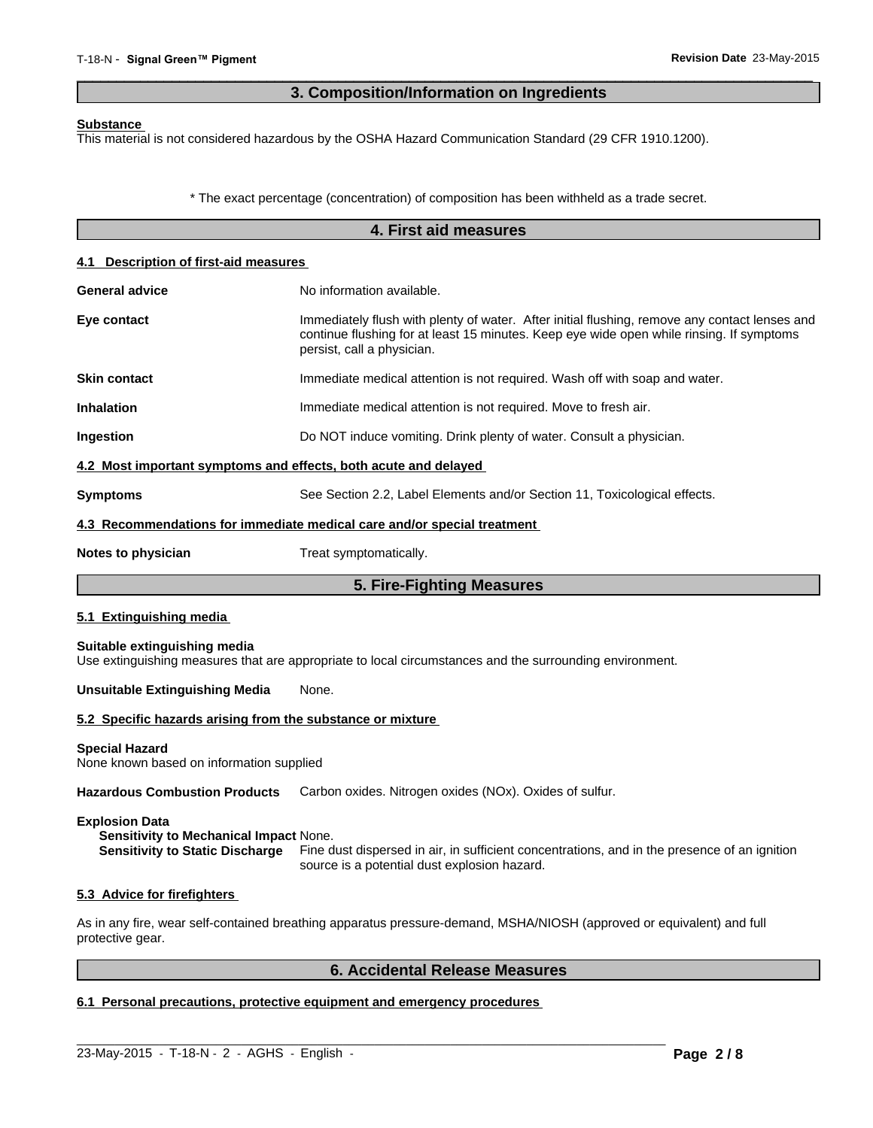# **3. Composition/Information on Ingredients**

 $\overline{\phantom{a}}$  ,  $\overline{\phantom{a}}$  ,  $\overline{\phantom{a}}$  ,  $\overline{\phantom{a}}$  ,  $\overline{\phantom{a}}$  ,  $\overline{\phantom{a}}$  ,  $\overline{\phantom{a}}$  ,  $\overline{\phantom{a}}$  ,  $\overline{\phantom{a}}$  ,  $\overline{\phantom{a}}$  ,  $\overline{\phantom{a}}$  ,  $\overline{\phantom{a}}$  ,  $\overline{\phantom{a}}$  ,  $\overline{\phantom{a}}$  ,  $\overline{\phantom{a}}$  ,  $\overline{\phantom{a}}$ 

#### **Substance**

This material is not considered hazardous by the OSHA Hazard Communication Standard (29 CFR 1910.1200).

\* The exact percentage (concentration) of composition has been withheld as a trade secret.

|                                                                   | 4. First aid measures                                                                                                                                                                                                   |
|-------------------------------------------------------------------|-------------------------------------------------------------------------------------------------------------------------------------------------------------------------------------------------------------------------|
| 4.1 Description of first-aid measures                             |                                                                                                                                                                                                                         |
| General advice                                                    | No information available.                                                                                                                                                                                               |
| Eye contact                                                       | Immediately flush with plenty of water. After initial flushing, remove any contact lenses and<br>continue flushing for at least 15 minutes. Keep eye wide open while rinsing. If symptoms<br>persist, call a physician. |
| <b>Skin contact</b>                                               | Immediate medical attention is not required. Wash off with soap and water.                                                                                                                                              |
| <b>Inhalation</b>                                                 | Immediate medical attention is not required. Move to fresh air.                                                                                                                                                         |
| Ingestion                                                         | Do NOT induce vomiting. Drink plenty of water. Consult a physician.                                                                                                                                                     |
| 4.2 Most important symptoms and effects, both acute and delayed   |                                                                                                                                                                                                                         |
| <b>Symptoms</b>                                                   | See Section 2.2, Label Elements and/or Section 11, Toxicological effects.                                                                                                                                               |
|                                                                   | 4.3 Recommendations for immediate medical care and/or special treatment                                                                                                                                                 |
| Notes to physician                                                | Treat symptomatically.                                                                                                                                                                                                  |
|                                                                   | 5. Fire-Fighting Measures                                                                                                                                                                                               |
| 5.1 Extinguishing media                                           |                                                                                                                                                                                                                         |
| Suitable extinguishing media                                      | Use extinguishing measures that are appropriate to local circumstances and the surrounding environment.                                                                                                                 |
| <b>Unsuitable Extinguishing Media</b>                             | None.                                                                                                                                                                                                                   |
| 5.2 Specific hazards arising from the substance or mixture        |                                                                                                                                                                                                                         |
| <b>Special Hazard</b><br>None known based on information supplied |                                                                                                                                                                                                                         |
| <b>Hazardous Combustion Products</b>                              | Carbon oxides. Nitrogen oxides (NOx). Oxides of sulfur.                                                                                                                                                                 |

## **Explosion Data**

**Sensitivity to Mechanical Impact** None. **Sensitivity to Static Discharge** Fine dust dispersed in air, in sufficient concentrations, and in the presence of an ignition source is a potential dust explosion hazard.

#### **5.3 Advice for firefighters**

As in any fire, wear self-contained breathing apparatus pressure-demand, MSHA/NIOSH (approved or equivalent) and full protective gear.

 $\_$  ,  $\_$  ,  $\_$  ,  $\_$  ,  $\_$  ,  $\_$  ,  $\_$  ,  $\_$  ,  $\_$  ,  $\_$  ,  $\_$  ,  $\_$  ,  $\_$  ,  $\_$  ,  $\_$  ,  $\_$  ,  $\_$  ,  $\_$  ,  $\_$  ,  $\_$  ,  $\_$  ,  $\_$  ,  $\_$  ,  $\_$  ,  $\_$  ,  $\_$  ,  $\_$  ,  $\_$  ,  $\_$  ,  $\_$  ,  $\_$  ,  $\_$  ,  $\_$  ,  $\_$  ,  $\_$  ,  $\_$  ,  $\_$  ,

# **6. Accidental Release Measures**

# **6.1 Personal precautions, protective equipment and emergency procedures**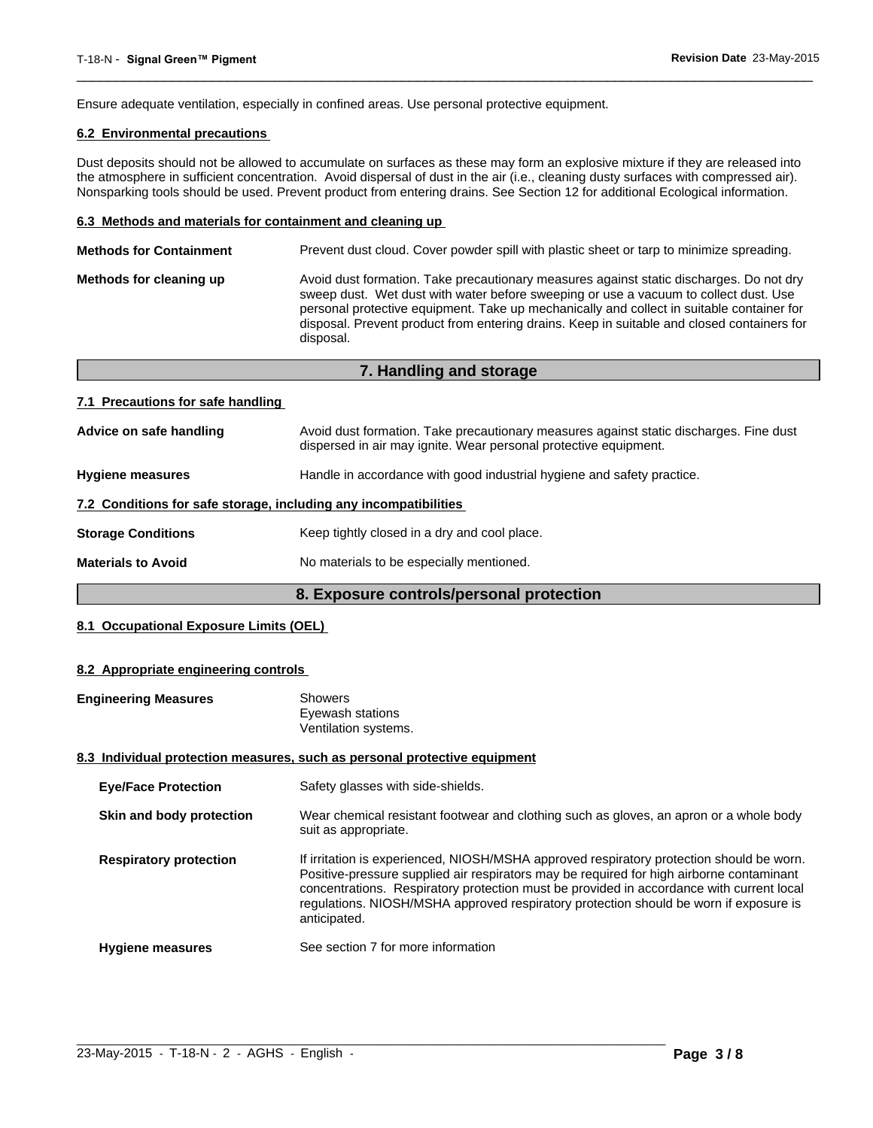Ensure adequate ventilation, especially in confined areas. Use personal protective equipment.

# **6.2 Environmental precautions**

Dust deposits should not be allowed to accumulate on surfaces as these may form an explosive mixture if they are released into the atmosphere in sufficient concentration. Avoid dispersal of dust in the air (i.e., cleaning dusty surfaces with compressed air). Nonsparking tools should be used. Prevent product from entering drains. See Section 12 for additional Ecological information.

 $\overline{\phantom{a}}$  ,  $\overline{\phantom{a}}$  ,  $\overline{\phantom{a}}$  ,  $\overline{\phantom{a}}$  ,  $\overline{\phantom{a}}$  ,  $\overline{\phantom{a}}$  ,  $\overline{\phantom{a}}$  ,  $\overline{\phantom{a}}$  ,  $\overline{\phantom{a}}$  ,  $\overline{\phantom{a}}$  ,  $\overline{\phantom{a}}$  ,  $\overline{\phantom{a}}$  ,  $\overline{\phantom{a}}$  ,  $\overline{\phantom{a}}$  ,  $\overline{\phantom{a}}$  ,  $\overline{\phantom{a}}$ 

#### **6.3 Methods and materials for containment and cleaning up**

| <b>Methods for Containment</b> | Prevent dust cloud. Cover powder spill with plastic sheet or tarp to minimize spreading.                                                                                                                                                                                                                                                                                                |
|--------------------------------|-----------------------------------------------------------------------------------------------------------------------------------------------------------------------------------------------------------------------------------------------------------------------------------------------------------------------------------------------------------------------------------------|
| Methods for cleaning up        | Avoid dust formation. Take precautionary measures against static discharges. Do not dry<br>sweep dust. Wet dust with water before sweeping or use a vacuum to collect dust. Use<br>personal protective equipment. Take up mechanically and collect in suitable container for<br>disposal. Prevent product from entering drains. Keep in suitable and closed containers for<br>disposal. |
|                                |                                                                                                                                                                                                                                                                                                                                                                                         |

| 7. Handling and storage                                          |                                                                                                                                                            |  |
|------------------------------------------------------------------|------------------------------------------------------------------------------------------------------------------------------------------------------------|--|
| 7.1 Precautions for safe handling                                |                                                                                                                                                            |  |
| Advice on safe handling                                          | Avoid dust formation. Take precautionary measures against static discharges. Fine dust<br>dispersed in air may ignite. Wear personal protective equipment. |  |
| <b>Hygiene measures</b>                                          | Handle in accordance with good industrial hygiene and safety practice.                                                                                     |  |
| 7.2 Conditions for safe storage, including any incompatibilities |                                                                                                                                                            |  |
| <b>Storage Conditions</b>                                        | Keep tightly closed in a dry and cool place.                                                                                                               |  |
| <b>Materials to Avoid</b>                                        | No materials to be especially mentioned.                                                                                                                   |  |

# **8. Exposure controls/personal protection**

## **8.1 Occupational Exposure Limits (OEL)**

#### **8.2 Appropriate engineering controls**

| <b>Engineering Measures</b>   | <b>Showers</b><br>Eyewash stations<br>Ventilation systems.                                                                                                                                                                                                                                                                                                                                |
|-------------------------------|-------------------------------------------------------------------------------------------------------------------------------------------------------------------------------------------------------------------------------------------------------------------------------------------------------------------------------------------------------------------------------------------|
|                               | 8.3 Individual protection measures, such as personal protective equipment                                                                                                                                                                                                                                                                                                                 |
| <b>Eye/Face Protection</b>    | Safety glasses with side-shields.                                                                                                                                                                                                                                                                                                                                                         |
| Skin and body protection      | Wear chemical resistant footwear and clothing such as gloves, an apron or a whole body<br>suit as appropriate.                                                                                                                                                                                                                                                                            |
| <b>Respiratory protection</b> | If irritation is experienced, NIOSH/MSHA approved respiratory protection should be worn.<br>Positive-pressure supplied air respirators may be required for high airborne contaminant<br>concentrations. Respiratory protection must be provided in accordance with current local<br>regulations. NIOSH/MSHA approved respiratory protection should be worn if exposure is<br>anticipated. |
| <b>Hygiene measures</b>       | See section 7 for more information                                                                                                                                                                                                                                                                                                                                                        |

 $\_$  ,  $\_$  ,  $\_$  ,  $\_$  ,  $\_$  ,  $\_$  ,  $\_$  ,  $\_$  ,  $\_$  ,  $\_$  ,  $\_$  ,  $\_$  ,  $\_$  ,  $\_$  ,  $\_$  ,  $\_$  ,  $\_$  ,  $\_$  ,  $\_$  ,  $\_$  ,  $\_$  ,  $\_$  ,  $\_$  ,  $\_$  ,  $\_$  ,  $\_$  ,  $\_$  ,  $\_$  ,  $\_$  ,  $\_$  ,  $\_$  ,  $\_$  ,  $\_$  ,  $\_$  ,  $\_$  ,  $\_$  ,  $\_$  ,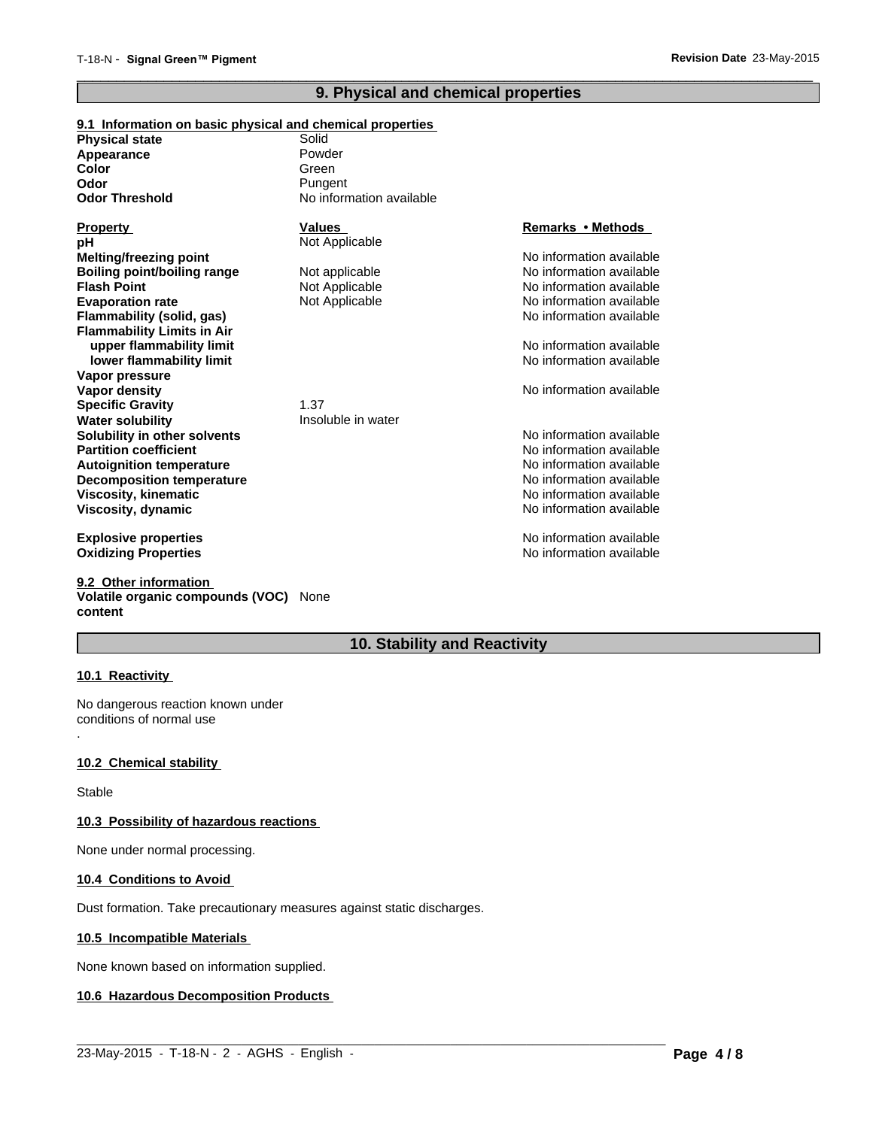# **9. Physical and chemical properties**

 $\overline{\phantom{a}}$  ,  $\overline{\phantom{a}}$  ,  $\overline{\phantom{a}}$  ,  $\overline{\phantom{a}}$  ,  $\overline{\phantom{a}}$  ,  $\overline{\phantom{a}}$  ,  $\overline{\phantom{a}}$  ,  $\overline{\phantom{a}}$  ,  $\overline{\phantom{a}}$  ,  $\overline{\phantom{a}}$  ,  $\overline{\phantom{a}}$  ,  $\overline{\phantom{a}}$  ,  $\overline{\phantom{a}}$  ,  $\overline{\phantom{a}}$  ,  $\overline{\phantom{a}}$  ,  $\overline{\phantom{a}}$ 

| 9.1 Information on basic physical and chemical properties |                          |                          |
|-----------------------------------------------------------|--------------------------|--------------------------|
| <b>Physical state</b>                                     | Solid                    |                          |
| Appearance                                                | Powder                   |                          |
| Color                                                     | Green                    |                          |
| Odor                                                      | Pungent                  |                          |
| <b>Odor Threshold</b>                                     | No information available |                          |
| <b>Property</b>                                           | <b>Values</b>            | Remarks • Methods        |
| pН                                                        | Not Applicable           |                          |
| <b>Melting/freezing point</b>                             |                          | No information available |
| <b>Boiling point/boiling range</b>                        | Not applicable           | No information available |
| <b>Flash Point</b>                                        | Not Applicable           | No information available |
| <b>Evaporation rate</b>                                   | Not Applicable           | No information available |
| Flammability (solid, gas)                                 |                          | No information available |
| <b>Flammability Limits in Air</b>                         |                          |                          |
| upper flammability limit                                  |                          | No information available |
| lower flammability limit                                  |                          | No information available |
| Vapor pressure                                            |                          |                          |
| Vapor density                                             |                          | No information available |
| <b>Specific Gravity</b>                                   | 1.37                     |                          |
| Water solubility                                          | Insoluble in water       |                          |
| Solubility in other solvents                              |                          | No information available |
| <b>Partition coefficient</b>                              |                          | No information available |
| <b>Autoignition temperature</b>                           |                          | No information available |
| <b>Decomposition temperature</b>                          |                          | No information available |
| Viscosity, kinematic                                      |                          | No information available |
| Viscosity, dynamic                                        |                          | No information available |
| <b>Explosive properties</b>                               |                          | No information available |
| <b>Oxidizing Properties</b>                               |                          | No information available |

**9.2 Other information Volatile organic compounds (VOC)** None **content**

# **10. Stability and Reactivity**

 $\_$  ,  $\_$  ,  $\_$  ,  $\_$  ,  $\_$  ,  $\_$  ,  $\_$  ,  $\_$  ,  $\_$  ,  $\_$  ,  $\_$  ,  $\_$  ,  $\_$  ,  $\_$  ,  $\_$  ,  $\_$  ,  $\_$  ,  $\_$  ,  $\_$  ,  $\_$  ,  $\_$  ,  $\_$  ,  $\_$  ,  $\_$  ,  $\_$  ,  $\_$  ,  $\_$  ,  $\_$  ,  $\_$  ,  $\_$  ,  $\_$  ,  $\_$  ,  $\_$  ,  $\_$  ,  $\_$  ,  $\_$  ,  $\_$  ,

#### **10.1 Reactivity**

.

No dangerous reaction known under conditions of normal use

#### **10.2 Chemical stability**

Stable

## **10.3 Possibility of hazardous reactions**

None under normal processing.

#### **10.4 Conditions to Avoid**

Dust formation. Take precautionary measures against static discharges.

#### **10.5 Incompatible Materials**

None known based on information supplied.

# **10.6 Hazardous Decomposition Products**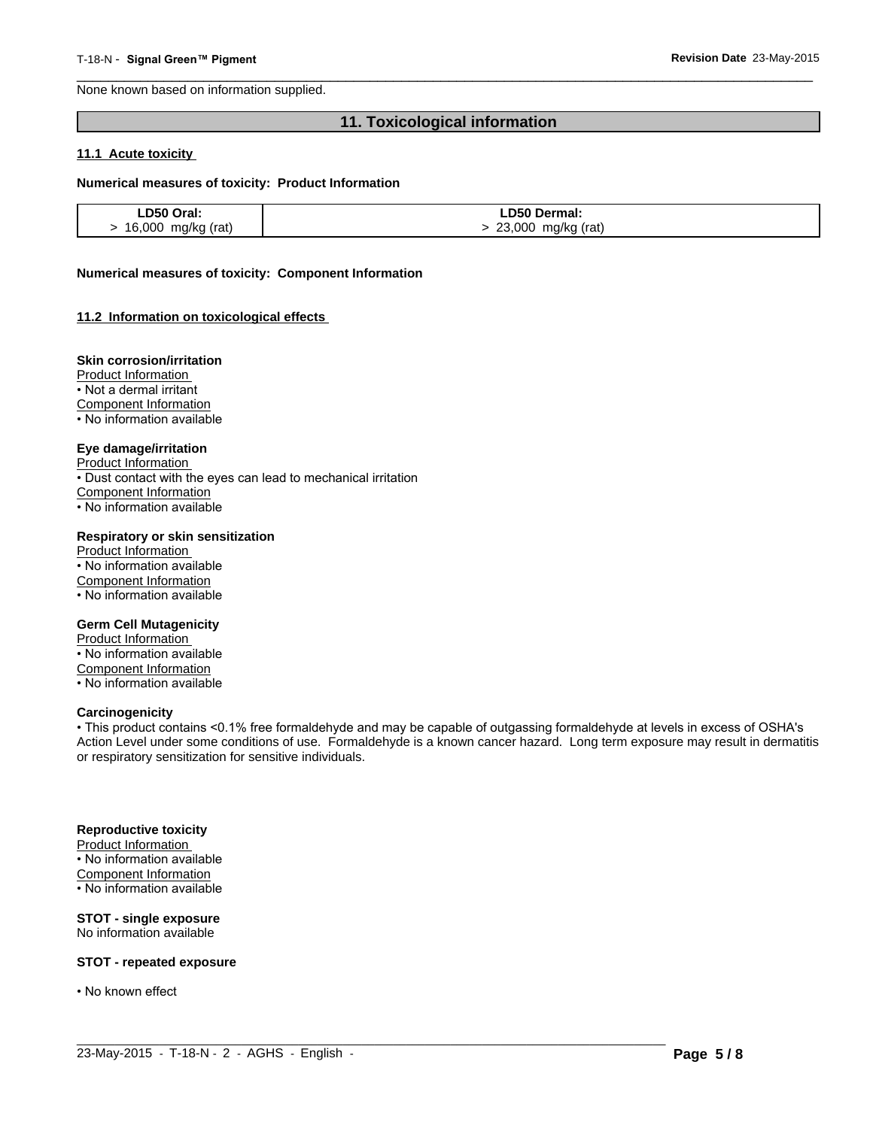None known based on information supplied.

# **11. Toxicological information**

 $\overline{\phantom{a}}$  ,  $\overline{\phantom{a}}$  ,  $\overline{\phantom{a}}$  ,  $\overline{\phantom{a}}$  ,  $\overline{\phantom{a}}$  ,  $\overline{\phantom{a}}$  ,  $\overline{\phantom{a}}$  ,  $\overline{\phantom{a}}$  ,  $\overline{\phantom{a}}$  ,  $\overline{\phantom{a}}$  ,  $\overline{\phantom{a}}$  ,  $\overline{\phantom{a}}$  ,  $\overline{\phantom{a}}$  ,  $\overline{\phantom{a}}$  ,  $\overline{\phantom{a}}$  ,  $\overline{\phantom{a}}$ 

#### **11.1 Acute toxicity**

#### **Numerical measures of toxicity: Product Information**

| LD50 Oral:         | LD50 Dermal:          |
|--------------------|-----------------------|
| 16,000 mg/kg (rat) | 23,000<br>mg/kg (rat) |

#### **Numerical measures of toxicity: Component Information**

#### **11.2 Information on toxicological effects**

#### **Skin corrosion/irritation**

Product Information

• Not a dermal irritant

Component Information

• No information available

#### **Eye damage/irritation**

Product Information

• Dust contact with the eyes can lead to mechanical irritation

Component Information

• No information available

#### **Respiratory or skin sensitization**

Product Information • No information available Component Information • No information available

#### **Germ Cell Mutagenicity**

Product Information • No information available Component Information • No information available

#### **Carcinogenicity**

• This product contains <0.1% free formaldehyde and may be capable of outgassing formaldehyde at levels in excess of OSHA's Action Level under some conditions of use. Formaldehyde is a known cancer hazard. Long term exposure may result in dermatitis or respiratory sensitization for sensitive individuals.

 $\_$  ,  $\_$  ,  $\_$  ,  $\_$  ,  $\_$  ,  $\_$  ,  $\_$  ,  $\_$  ,  $\_$  ,  $\_$  ,  $\_$  ,  $\_$  ,  $\_$  ,  $\_$  ,  $\_$  ,  $\_$  ,  $\_$  ,  $\_$  ,  $\_$  ,  $\_$  ,  $\_$  ,  $\_$  ,  $\_$  ,  $\_$  ,  $\_$  ,  $\_$  ,  $\_$  ,  $\_$  ,  $\_$  ,  $\_$  ,  $\_$  ,  $\_$  ,  $\_$  ,  $\_$  ,  $\_$  ,  $\_$  ,  $\_$  ,

#### **Reproductive toxicity**

Product Information • No information available Component Information • No information available

#### **STOT - single exposure** No information available

**STOT - repeated exposure**

• No known effect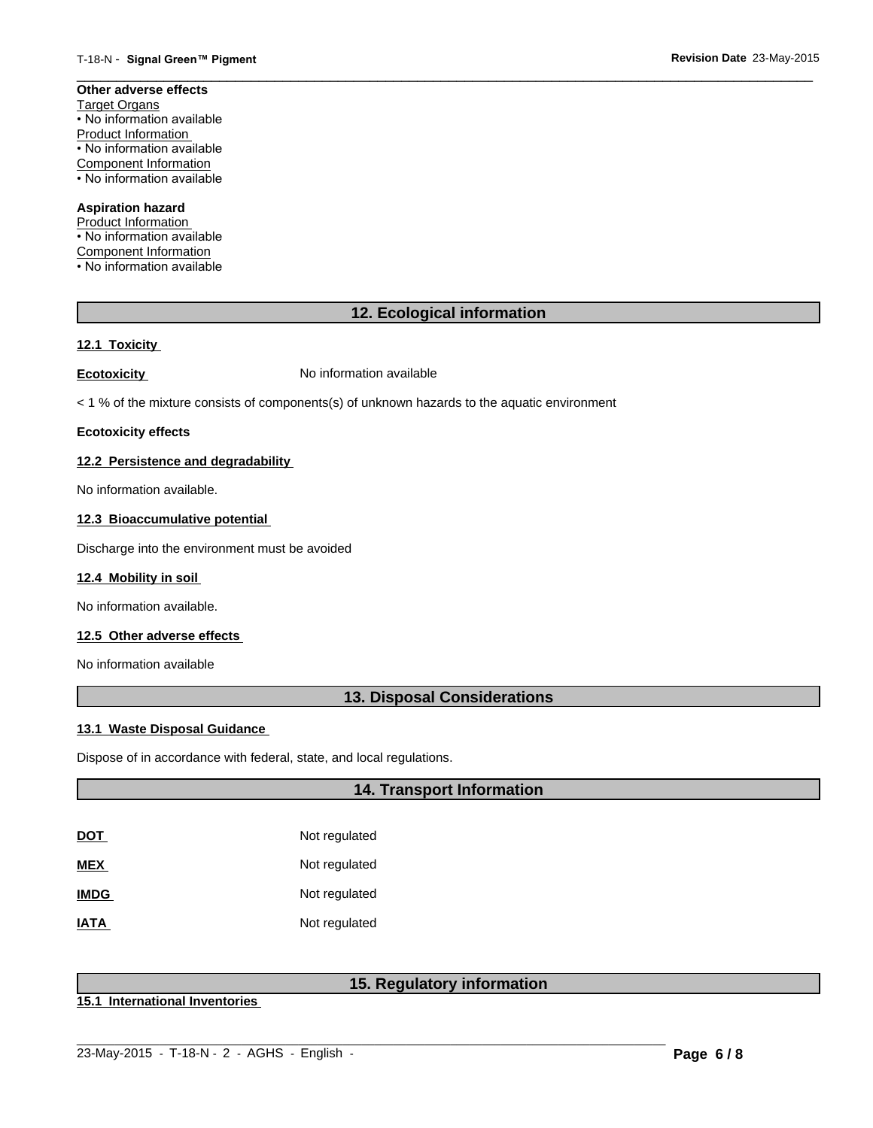#### **Other adverse effects** Target Organs • No information available Product Information • No information available Component Information

• No information available

# **Aspiration hazard**

Product Information • No information available Component Information • No information available

# **12. Ecological information**

 $\overline{\phantom{a}}$  ,  $\overline{\phantom{a}}$  ,  $\overline{\phantom{a}}$  ,  $\overline{\phantom{a}}$  ,  $\overline{\phantom{a}}$  ,  $\overline{\phantom{a}}$  ,  $\overline{\phantom{a}}$  ,  $\overline{\phantom{a}}$  ,  $\overline{\phantom{a}}$  ,  $\overline{\phantom{a}}$  ,  $\overline{\phantom{a}}$  ,  $\overline{\phantom{a}}$  ,  $\overline{\phantom{a}}$  ,  $\overline{\phantom{a}}$  ,  $\overline{\phantom{a}}$  ,  $\overline{\phantom{a}}$ 

# **12.1 Toxicity**

**Ecotoxicity No information available** 

< 1 % of the mixture consists of components(s) of unknown hazards to the aquatic environment

### **Ecotoxicity effects**

# **12.2 Persistence and degradability**

No information available.

# **12.3 Bioaccumulative potential**

Discharge into the environment must be avoided

#### **12.4 Mobility in soil**

No information available.

#### **12.5 Other adverse effects**

No information available

# **13. Disposal Considerations**

#### **13.1 Waste Disposal Guidance**

Dispose of in accordance with federal, state, and local regulations.

# **14. Transport Information**

| DOT         | Not regulated |
|-------------|---------------|
| MEX         | Not regulated |
| <b>IMDG</b> | Not regulated |
| <b>IATA</b> | Not regulated |

# **15. Regulatory information**

**15.1 International Inventories**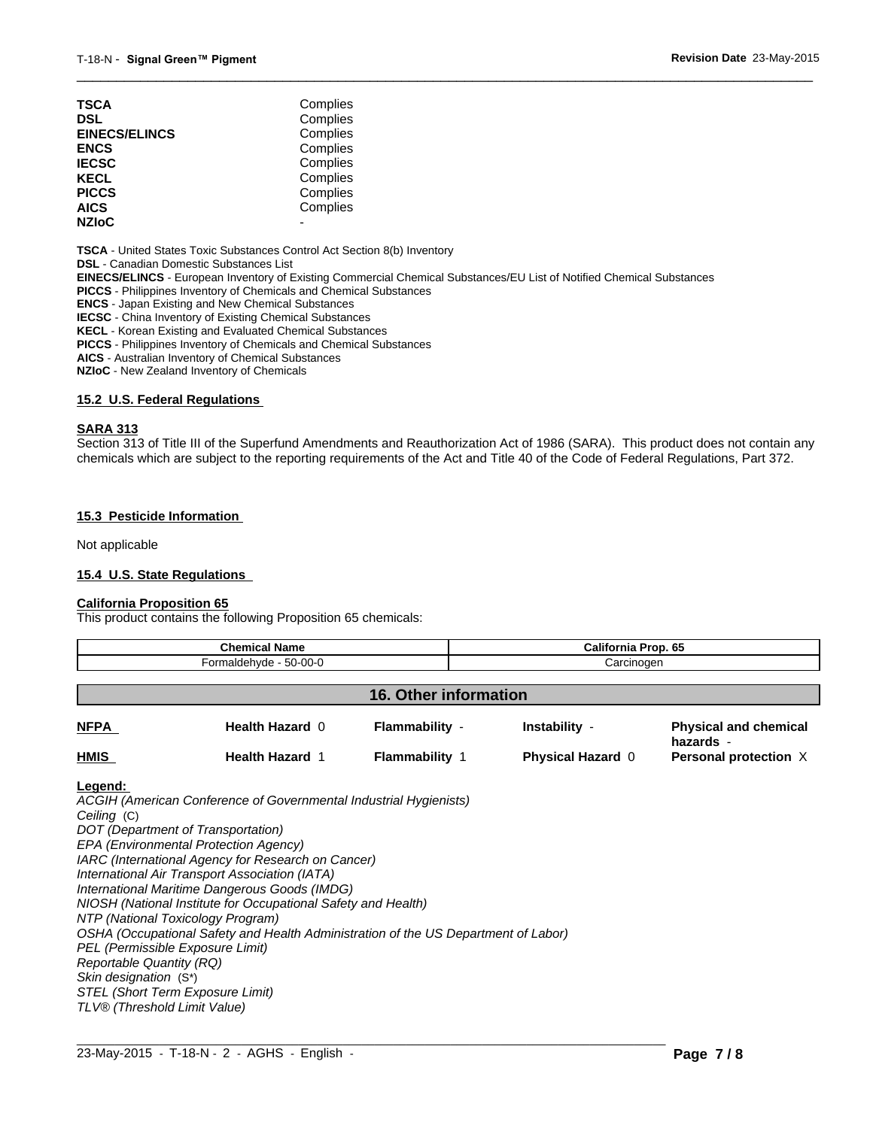| TSCA                 | Complies |  |
|----------------------|----------|--|
| DSL                  | Complies |  |
| <b>EINECS/ELINCS</b> | Complies |  |
| ENCS                 | Complies |  |
| <b>IECSC</b>         | Complies |  |
| KECL                 | Complies |  |
| PICCS                | Complies |  |
| AICS                 | Complies |  |
| <b>NZIoC</b>         |          |  |
|                      |          |  |

**TSCA** - United States Toxic Substances Control Act Section 8(b) Inventory

**DSL** - Canadian Domestic Substances List

**EINECS/ELINCS** - European Inventory of Existing Commercial Chemical Substances/EU List of Notified Chemical Substances

**PICCS** - Philippines Inventory of Chemicals and Chemical Substances

**ENCS** - Japan Existing and New Chemical Substances

**IECSC** - China Inventory of Existing Chemical Substances

**KECL** - Korean Existing and Evaluated Chemical Substances

**PICCS** - Philippines Inventory of Chemicals and Chemical Substances

**AICS** - Australian Inventory of Chemical Substances

**NZIoC** - New Zealand Inventory of Chemicals

#### **15.2 U.S. Federal Regulations**

#### **SARA 313**

Section 313 of Title III of the Superfund Amendments and Reauthorization Act of 1986 (SARA). This product does not contain any chemicals which are subject to the reporting requirements of the Act and Title 40 of the Code of Federal Regulations, Part 372.

 $\overline{\phantom{a}}$  ,  $\overline{\phantom{a}}$  ,  $\overline{\phantom{a}}$  ,  $\overline{\phantom{a}}$  ,  $\overline{\phantom{a}}$  ,  $\overline{\phantom{a}}$  ,  $\overline{\phantom{a}}$  ,  $\overline{\phantom{a}}$  ,  $\overline{\phantom{a}}$  ,  $\overline{\phantom{a}}$  ,  $\overline{\phantom{a}}$  ,  $\overline{\phantom{a}}$  ,  $\overline{\phantom{a}}$  ,  $\overline{\phantom{a}}$  ,  $\overline{\phantom{a}}$  ,  $\overline{\phantom{a}}$ 

#### **15.3 Pesticide Information**

Not applicable

#### **15.4 U.S. State Regulations**

#### **California Proposition 65**

This product contains the following Proposition 65 chemicals:

| <b>Chemical Name</b><br>Formaldehyde - 50-00-0 |                        |                       | California Prop. 65<br>Carcinogen |                                           |
|------------------------------------------------|------------------------|-----------------------|-----------------------------------|-------------------------------------------|
|                                                |                        |                       |                                   |                                           |
| <b>NFPA</b>                                    | Health Hazard 0        | Flammability -        | Instability -                     | <b>Physical and chemical</b><br>hazards - |
| <b>HMIS</b>                                    | <b>Health Hazard 1</b> | <b>Flammability 1</b> | <b>Physical Hazard 0</b>          | Personal protection X                     |

 $\_$  ,  $\_$  ,  $\_$  ,  $\_$  ,  $\_$  ,  $\_$  ,  $\_$  ,  $\_$  ,  $\_$  ,  $\_$  ,  $\_$  ,  $\_$  ,  $\_$  ,  $\_$  ,  $\_$  ,  $\_$  ,  $\_$  ,  $\_$  ,  $\_$  ,  $\_$  ,  $\_$  ,  $\_$  ,  $\_$  ,  $\_$  ,  $\_$  ,  $\_$  ,  $\_$  ,  $\_$  ,  $\_$  ,  $\_$  ,  $\_$  ,  $\_$  ,  $\_$  ,  $\_$  ,  $\_$  ,  $\_$  ,  $\_$  ,

#### **Legend:**

*ACGIH (American Conference of Governmental Industrial Hygienists) Ceiling* (C) *DOT (Department of Transportation) EPA (Environmental Protection Agency) IARC (International Agency for Research on Cancer) International Air Transport Association (IATA) International Maritime Dangerous Goods (IMDG) NIOSH (National Institute for Occupational Safety and Health) NTP (National Toxicology Program) OSHA (Occupational Safety and Health Administration of the US Department of Labor) PEL (Permissible Exposure Limit) Reportable Quantity (RQ) Skin designation* (S\*) *STEL (Short Term Exposure Limit) TLV® (Threshold Limit Value)*